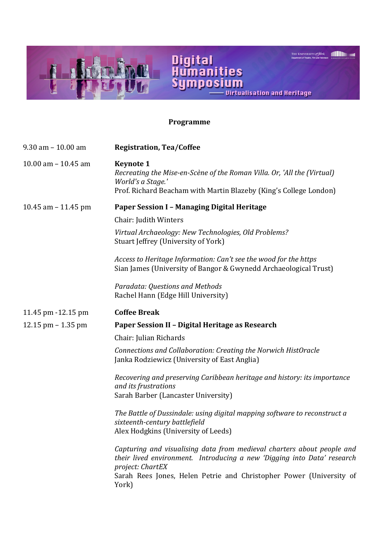Digital<br>
Humanities<br>
Symposium<br>
— Dirtualisation and Heritage 



## **Programme**

| $9.30$ am $-10.00$ am | <b>Registration, Tea/Coffee</b>                                                                                                                                                                                                              |
|-----------------------|----------------------------------------------------------------------------------------------------------------------------------------------------------------------------------------------------------------------------------------------|
| 10.00 am $-$ 10.45 am | <b>Keynote 1</b><br>Recreating the Mise-en-Scène of the Roman Villa. Or, 'All the (Virtual)<br>World's a Stage.'                                                                                                                             |
|                       | Prof. Richard Beacham with Martin Blazeby (King's College London)                                                                                                                                                                            |
| 10.45 am $-$ 11.45 pm | Paper Session I - Managing Digital Heritage                                                                                                                                                                                                  |
|                       | Chair: Judith Winters                                                                                                                                                                                                                        |
|                       | Virtual Archaeology: New Technologies, Old Problems?<br>Stuart Jeffrey (University of York)                                                                                                                                                  |
|                       | Access to Heritage Information: Can't see the wood for the https<br>Sian James (University of Bangor & Gwynedd Archaeological Trust)                                                                                                         |
|                       | Paradata: Questions and Methods<br>Rachel Hann (Edge Hill University)                                                                                                                                                                        |
| 11.45 pm -12.15 pm    | <b>Coffee Break</b>                                                                                                                                                                                                                          |
| 12.15 pm $-$ 1.35 pm  | Paper Session II - Digital Heritage as Research                                                                                                                                                                                              |
|                       | Chair: Julian Richards                                                                                                                                                                                                                       |
|                       | Connections and Collaboration: Creating the Norwich HistOracle<br>Janka Rodziewicz (University of East Anglia)                                                                                                                               |
|                       | Recovering and preserving Caribbean heritage and history: its importance<br>and its frustrations<br>Sarah Barber (Lancaster University)                                                                                                      |
|                       |                                                                                                                                                                                                                                              |
|                       | The Battle of Dussindale: using digital mapping software to reconstruct a<br>sixteenth-century battlefield<br>Alex Hodgkins (University of Leeds)                                                                                            |
|                       | Capturing and visualising data from medieval charters about people and<br>their lived environment. Introducing a new 'Digging into Data' research<br>project: ChartEX<br>Sarah Rees Jones, Helen Petrie and Christopher Power (University of |
|                       | York)                                                                                                                                                                                                                                        |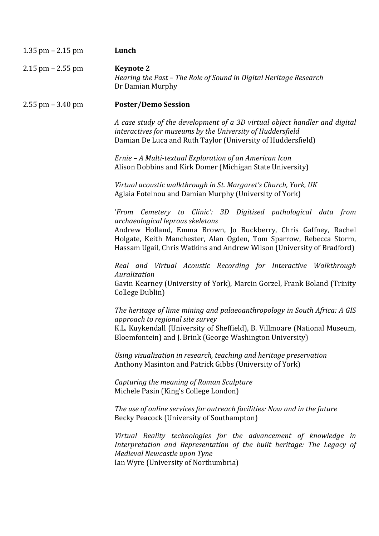| $1.35$ pm $- 2.15$ pm | Lunch                                                                                                                                                                                                                                                                                                                 |
|-----------------------|-----------------------------------------------------------------------------------------------------------------------------------------------------------------------------------------------------------------------------------------------------------------------------------------------------------------------|
| $2.15$ pm $- 2.55$ pm | <b>Keynote 2</b><br>Hearing the Past - The Role of Sound in Digital Heritage Research<br>Dr Damian Murphy                                                                                                                                                                                                             |
| $2.55$ pm $-3.40$ pm  | <b>Poster/Demo Session</b>                                                                                                                                                                                                                                                                                            |
|                       | A case study of the development of a 3D virtual object handler and digital<br>interactives for museums by the University of Huddersfield<br>Damian De Luca and Ruth Taylor (University of Huddersfield)                                                                                                               |
|                       | Ernie - A Multi-textual Exploration of an American Icon<br>Alison Dobbins and Kirk Domer (Michigan State University)                                                                                                                                                                                                  |
|                       | Virtual acoustic walkthrough in St. Margaret's Church, York, UK<br>Aglaia Foteinou and Damian Murphy (University of York)                                                                                                                                                                                             |
|                       | 'From Cemetery to Clinic': 3D Digitised pathological data from<br>archaeological leprous skeletons<br>Andrew Holland, Emma Brown, Jo Buckberry, Chris Gaffney, Rachel<br>Holgate, Keith Manchester, Alan Ogden, Tom Sparrow, Rebecca Storm,<br>Hassam Ugail, Chris Watkins and Andrew Wilson (University of Bradford) |
|                       | Real and Virtual Acoustic Recording for Interactive Walkthrough<br>Auralization<br>Gavin Kearney (University of York), Marcin Gorzel, Frank Boland (Trinity<br>College Dublin)                                                                                                                                        |
|                       | The heritage of lime mining and palaeoanthropology in South Africa: A GIS<br>approach to regional site survey<br>K.L. Kuykendall (University of Sheffield), B. Villmoare (National Museum,<br>Bloemfontein) and J. Brink (George Washington University)                                                               |
|                       | Using visualisation in research, teaching and heritage preservation<br>Anthony Masinton and Patrick Gibbs (University of York)                                                                                                                                                                                        |
|                       | Capturing the meaning of Roman Sculpture<br>Michele Pasin (King's College London)                                                                                                                                                                                                                                     |
|                       | The use of online services for outreach facilities: Now and in the future<br>Becky Peacock (University of Southampton)                                                                                                                                                                                                |
|                       | Virtual Reality technologies for the advancement of knowledge in<br>Interpretation and Representation of the built heritage: The Legacy of<br>Medieval Newcastle upon Tyne<br>Ian Wyre (University of Northumbria)                                                                                                    |
|                       |                                                                                                                                                                                                                                                                                                                       |